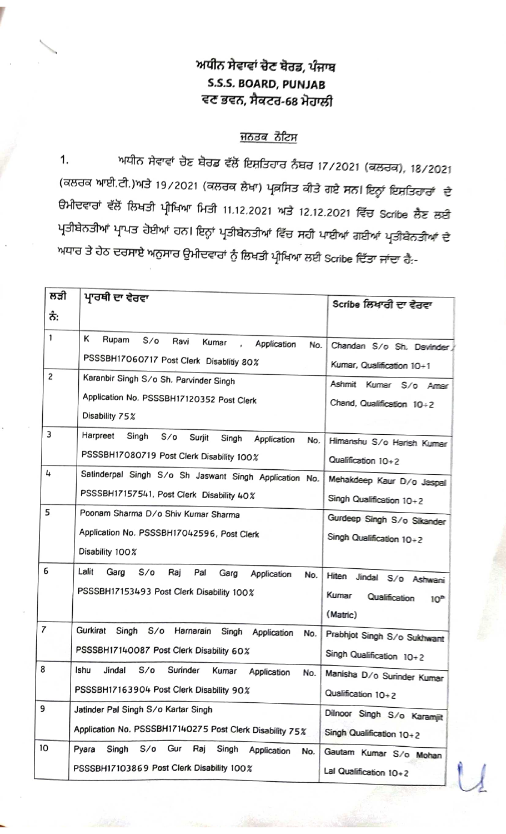## ਅਧੀਨ ਸੇਵਾਵਾਂ ਚੋਣ ਬੋਰਡ, ਪੰਜਾਬ S.S.S. BOARD, PUNJAB ਵਣ ਭਵਨ, ਸੈਕਟਰ-68 ਮੋਹਾਲੀ

<u>ਜਨਤਕ ਨੋਟਿਸ</u><br>1. ਅਧੀਨ ਸੇਵਾਵਾਂ ਚੋਣ ਬੋਰਡ ਵੱਲੋਂ ਇਸ਼ਤਿਹਾਰ ਨੰਬਰ 17/2021 (ਕਲਰਕ), 18/2021 (ਕਲਰਕ ਆਈ.ਟੀ.)ਅਤੇ 19/2021 (ਕਲਰਕ ਲੇਖਾ) ਪ੍ਰਕਸਿਤ ਕੀਤੇ ਗਏ ਸਨ। ਇਨ੍ਹਾਂ ਇਸ਼ਤਿਹਾਰਾਂ ਦੇ ੳਮੀਦਵਾਰਾਂ ਵੱਲੋਂ ਲਿਖਤੀ ਪ੍ਰੀਖਿਆ ਮਿਤੀ 11.12.2021 ਅਤੇ 12.12.2021 ਵਿੱਚ Scribe ਲੈਣ ਲਈ<br>ਪ੍ਰਤੀਬੇਨਤੀਆਂ ਪ੍ਰਾਪਤ ਹੋਈਆਂ ਹਨ। ਇਨ੍ਹਾਂ ਪ੍ਰਤੀਬੇਨਤੀਆਂ ਵਿੱਚ ਸਹੀ ਪਾਈਆਂ ਗਈਆਂ ਪ੍ਰਤੀਬੇਨਤੀਆਂ ਦੇ ਅਧਾਰ ਤੇ ਹੇਠ ਦਰਸਾਏ ਅਨੁਸਾਰ ਉਮੀਦਵਾਰਾਂ ਨੂੰ ਲਿਖਤੀ ਪ੍ਰੀਖਿਆ ਲਈ Scribe ਦਿੱਤਾ ਜਾਂਦਾ ਹੈ:-

| ਲਤੀ            | ਪਾਰਥੀ ਦਾ ਵੇਰਵਾ                                                                                                        | Scribe ਲਿਖਾਰੀ ਦਾ ਵੇਰਵਾ                                                            |  |  |
|----------------|-----------------------------------------------------------------------------------------------------------------------|-----------------------------------------------------------------------------------|--|--|
| ਨੰ:            |                                                                                                                       |                                                                                   |  |  |
| $\mathbf{1}$   | κ<br>Rupam<br>$S/\sigma$<br>Ravi<br>Kumar<br>Application<br>No.<br>PSSSBH17060717 Post Clerk Disablitiy 80%           | Chandan S/o Sh. Davinder<br>Kumar, Qualification 10+1                             |  |  |
| $\overline{c}$ | Karanbir Singh S/o Sh. Parvinder Singh<br>Application No. PSSSBH17120352 Post Clerk<br>Disability 75%                 | Ashmit<br>Kumar S/o Amar<br>Chand, Qualification $10+2$                           |  |  |
| 3              | Harpreet<br>Singh<br>$S/\sigma$<br>Surjit<br>Singh<br>Application<br>No.<br>PSSSBH17080719 Post Clerk Disability 100% | Himanshu S/o Harish Kumar<br>Qualification 10+2                                   |  |  |
| 4              | Satinderpal Singh S/o Sh Jaswant Singh Application No.<br>PSSSBH17157541, Post Clerk Disability 40%                   | Mehakdeep Kaur D/o Jaspal<br>Singh Qualification 10+2                             |  |  |
| 5              | Poonam Sharma D/o Shiv Kumar Sharma<br>Application No. PSSSBH17042596, Post Clerk<br>Disability 100%                  | Gurdeep Singh S/o Sikander<br>Singh Qualification 10+2                            |  |  |
| 6              | Lalit<br>Garg<br>S/O<br>Raj<br>Pal<br>Garg<br>Application<br>No.<br>PSSSBH17153493 Post Clerk Disability 100%         | Hiten Jindal S/o Ashwani<br>Kumar<br>Qualification<br>10 <sup>m</sup><br>(Matric) |  |  |
| $\overline{7}$ | Gurkirat<br>Singh<br>S/O<br>Harnarain<br>Singh<br>Application<br>No.<br>PSSSBH17140087 Post Clerk Disability 60%      | Prabhjot Singh S/o Sukhwant<br>Singh Qualification 10+2                           |  |  |
| 8              | S/O<br>Surinder<br>Ishu<br>Jindal<br>Kumar<br>Application<br>No.<br>PSSSBH17163904 Post Clerk Disability 90%          | Manisha D/o Surinder Kumar<br>Qualification 10+2                                  |  |  |
| 9              | Jatinder Pal Singh S/o Kartar Singh<br>Application No. PSSSBH17140275 Post Clerk Disability 75%                       | Dilnoor Singh S/o Karamjit<br>Singh Qualification 10+2                            |  |  |
| 10             | Singh S/o Gur Raj Singh<br>Pyara<br>Application<br>No.<br>PSSSBH17103869 Post Clerk Disability 100%                   | Gautam Kumar S/o Mohan<br>Lal Qualification 10+2                                  |  |  |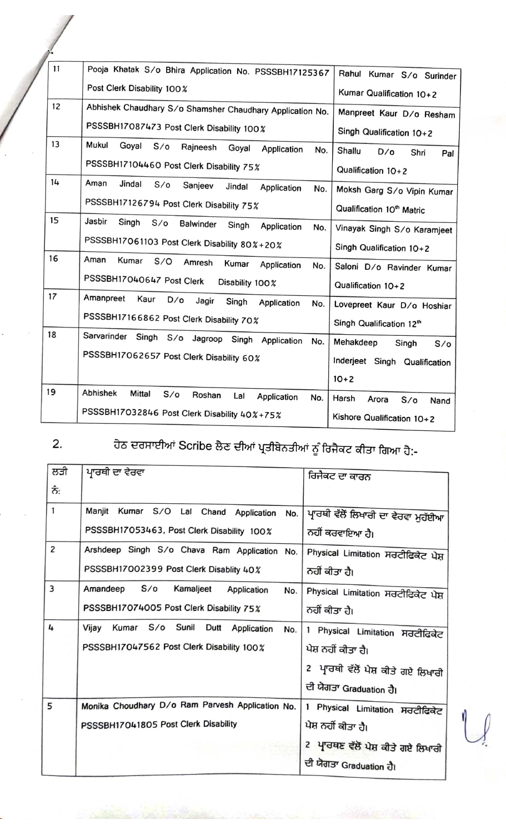| 11 |                                                                         |                                       |
|----|-------------------------------------------------------------------------|---------------------------------------|
|    | Pooja Khatak S/o Bhira Application No. PSSSBH17125367                   | Rahul Kumar S/o Surinder              |
|    | Post Clerk Disability 100%                                              | Kumar Qualification 10+2              |
| 12 | Abhishek Chaudhary S/o Shamsher Chaudhary Application No.               | Manpreet Kaur D/o Resham              |
|    | PSSSBH17087473 Post Clerk Disability 100%                               | Singh Qualification 10+2              |
| 13 | Mukul<br>Goyal<br>$S/\sigma$<br>Rajneesh<br>Goyal<br>Application<br>No. | Shallu<br>$D/\sigma$<br>Shri<br>Pal   |
|    | PSSSBH17104460 Post Clerk Disability 75%                                | Qualification 10+2                    |
| 14 | Aman<br>Jindal<br>S/O<br>Sanjeev<br>Jindal<br>Application<br>No.        | Moksh Garg S/o Vipin Kumar            |
|    | PSSSBH17126794 Post Clerk Disability 75%                                | Qualification 10 <sup>th</sup> Matric |
| 15 | Jasbir<br>Singh<br>S/O<br>Balwinder<br>Singh<br>Application<br>No.      | Vinayak Singh S/o Karamjeet           |
|    | PSSSBH17061103 Post Clerk Disability 80%+20%                            | Singh Qualification 10+2              |
| 16 | Aman<br>Kumar<br>S/O<br>Amresh<br>Kumar<br>Application<br>No.           | Saloni D/o Ravinder Kumar             |
|    | PSSSBH17040647 Post Clerk<br>Disability 100%                            | Qualification 10+2                    |
| 17 | Amanpreet<br>Kaur<br>$D/\sigma$<br>Jagir<br>Singh<br>Application<br>No. | Lovepreet Kaur D/o Hoshiar            |
|    | PSSSBH17166862 Post Clerk Disability 70%                                | Singh Qualification 12 <sup>th</sup>  |
| 18 | Sarvarinder<br>Singh S/o Jagroop Singh Application<br>No.               | Mehakdeep<br>Singh<br>$S/\sigma$      |
|    | PSSSBH17062657 Post Clerk Disability 60%                                | Inderjeet Singh Qualification         |
|    |                                                                         | $10+2$                                |
| 19 | Abhishek<br>Mittal<br>$S/\sigma$<br>Roshan<br>Lal<br>Application<br>No. | Harsh<br>Arora<br>$S$ /o<br>Nand      |
|    | PSSSBH17032846 Post Clerk Disability 40%+75%                            | Kishore Qualification 10+2            |

2.

ਹੇਠ ਦਰਸਾਈਆਂ Scribe ਲੈਣ ਦੀਆਂ ਪ੍ਰਤੀਬੇਨਤੀਆਂ ਨੂੰ ਰਿਜੈਕਟ ਕੀਤਾ ਗਿਆ ਹੈ:-

| ਲੜੀ            | ਪ੍ਰਾਰਥੀ ਦਾ ਵੇਰਵਾ                                 |                                               |
|----------------|--------------------------------------------------|-----------------------------------------------|
|                |                                                  | ਰਿਜੈਕਟ ਦਾ ਕਾਰਨ                                |
| ਨੰ:            |                                                  |                                               |
| 1              | Manjit Kumar S/O Lal Chand<br>Application<br>No. | ਪ੍ਰਾਰਥੀ ਵੱਲੋਂ ਲਿਖਾਰੀ ਦਾ ਵੇਰਵਾ ਮੁਹੱਈਆ          |
|                | PSSSBH17053463, Post Clerk Disability 100%       | ਨਹੀਂ ਕਰਵਾਇਆ ਹੈ।                               |
| $\overline{c}$ | Arshdeep Singh S/o Chava Ram Application No.     | Physical Limitation ਸਰਟੀਫਿਕੇਟ ਪੇਸ਼            |
|                | PSSSBH17002399 Post Clerk Disablity 40%          | ਨਹੀਂ ਕੀਤਾ ਹੈ।                                 |
| 3              | Amandeep S/o<br>Kamaljeet<br>Application<br>No.  | Physical Limitation ਸਰਟੀਫਿਕੇਟ ਪੇਸ਼            |
|                | PSSSBH17074005 Post Clerk Disability 75%         | ਨਹੀਂ ਕੀਤਾ ਹੈ।                                 |
| 4              | Kumar S/o Sunil Dutt Application<br>Vijay<br>No. | 1 Physical Limitation ਸਰਟੀਫਿਕੇਟ               |
|                | PSSSBH17047562 Post Clerk Disability 100%        | ਪੇਸ਼ ਨਹੀਂ ਕੀਤਾ ਹੈ।                            |
|                |                                                  | 2 ਪ੍ਰਾਰਥੀ ਵੱਲੋਂ ਪੇਸ਼ ਕੀਤੇ ਗਏ ਲਿਖਾਰੀ           |
|                |                                                  | ਦੀ ਯੋਗਤਾ Graduation ਹੈ।                       |
| 5              | Monika Choudhary D/o Ram Parvesh Application No. | $\mathbf{1}$<br>Physical Limitation ਸਰਟੀਫਿਕੇਟ |
|                | PSSSBH17041805 Post Clerk Disability             | ਪੇਸ਼ ਨਹੀਂ ਕੀਤਾ ਹੈ।                            |
|                |                                                  | 2 ਪ੍ਰਾਰਥਣ ਵੱਲੋਂ ਪੇਸ਼ ਕੀਤੇ ਗਏ ਲਿਖਾਰੀ           |
|                |                                                  | ਦੀ ਯੋਗਤਾ Graduation ਹੈ।                       |